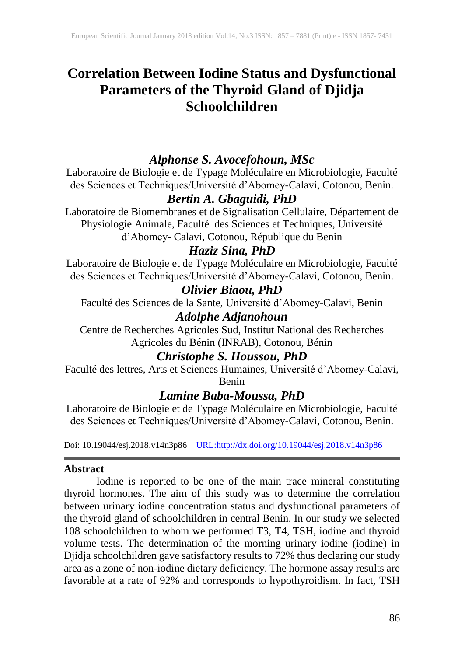# **Correlation Between Iodine Status and Dysfunctional Parameters of the Thyroid Gland of Djidja Schoolchildren**

## *Alphonse S. Avocefohoun, MSc*

Laboratoire de Biologie et de Typage Moléculaire en Microbiologie, Faculté des Sciences et Techniques/Université d'Abomey-Calavi, Cotonou, Benin.

## *Bertin A. Gbaguidi, PhD*

Laboratoire de Biomembranes et de Signalisation Cellulaire, Département de Physiologie Animale, Faculté des Sciences et Techniques, Université d'Abomey- Calavi, Cotonou, République du Benin

## *Haziz Sina, PhD*

Laboratoire de Biologie et de Typage Moléculaire en Microbiologie, Faculté des Sciences et Techniques/Université d'Abomey-Calavi, Cotonou, Benin.

## *Olivier Biaou, PhD*

Faculté des Sciences de la Sante, Université d'Abomey-Calavi, Benin

# *Adolphe Adjanohoun*

Centre de Recherches Agricoles Sud, Institut National des Recherches Agricoles du Bénin (INRAB), Cotonou, Bénin

### *Christophe S. Houssou, PhD*

Faculté des lettres, Arts et Sciences Humaines, Université d'Abomey-Calavi, Benin

### *Lamine Baba-Moussa, PhD*

Laboratoire de Biologie et de Typage Moléculaire en Microbiologie, Faculté des Sciences et Techniques/Université d'Abomey-Calavi, Cotonou, Benin.

Doi: 10.19044/esj.2018.v14n3p86 [URL:http://dx.doi.org/10.19044/esj.2018.v14n3p86](http://dx.doi.org/10.19044/esj.2018.v14n3p86)

### **Abstract**

Iodine is reported to be one of the main trace mineral constituting thyroid hormones. The aim of this study was to determine the correlation between urinary iodine concentration status and dysfunctional parameters of the thyroid gland of schoolchildren in central Benin. In our study we selected 108 schoolchildren to whom we performed T3, T4, TSH, iodine and thyroid volume tests. The determination of the morning urinary iodine (iodine) in Djidja schoolchildren gave satisfactory results to 72% thus declaring our study area as a zone of non-iodine dietary deficiency. The hormone assay results are favorable at a rate of 92% and corresponds to hypothyroidism. In fact, TSH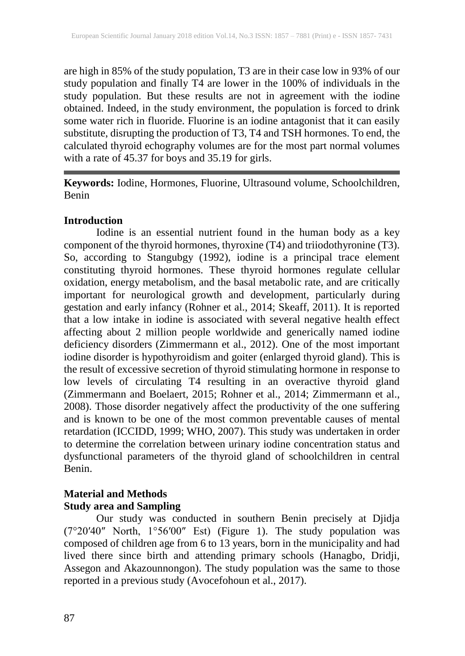are high in 85% of the study population, T3 are in their case low in 93% of our study population and finally T4 are lower in the 100% of individuals in the study population. But these results are not in agreement with the iodine obtained. Indeed, in the study environment, the population is forced to drink some water rich in fluoride. Fluorine is an iodine antagonist that it can easily substitute, disrupting the production of T3, T4 and TSH hormones. To end, the calculated thyroid echography volumes are for the most part normal volumes with a rate of 45.37 for boys and 35.19 for girls.

**Keywords:** Iodine, Hormones, Fluorine, Ultrasound volume, Schoolchildren, Benin

### **Introduction**

Iodine is an essential nutrient found in the human body as a key component of the thyroid hormones, thyroxine (T4) and triiodothyronine (T3). So, according to Stangubgy (1992), iodine is a principal trace element constituting thyroid hormones. These thyroid hormones regulate cellular oxidation, energy metabolism, and the basal metabolic rate, and are critically important for neurological growth and development, particularly during gestation and early infancy (Rohner et al., 2014; Skeaff, 2011). It is reported that a low intake in iodine is associated with several negative health effect affecting about 2 million people worldwide and generically named iodine deficiency disorders (Zimmermann et al., 2012). One of the most important iodine disorder is hypothyroidism and goiter (enlarged thyroid gland). This is the result of excessive secretion of thyroid stimulating hormone in response to low levels of circulating T4 resulting in an overactive thyroid gland (Zimmermann and Boelaert, 2015; Rohner et al., 2014; Zimmermann et al., 2008). Those disorder negatively affect the productivity of the one suffering and is known to be one of the most common preventable causes of mental retardation (ICCIDD, 1999; WHO, 2007). This study was undertaken in order to determine the correlation between urinary iodine concentration status and dysfunctional parameters of the thyroid gland of schoolchildren in central Benin.

### **Material and Methods Study area and Sampling**

Our study was conducted in southern Benin precisely at Djidja (7°20′40″ North, 1°56′00″ Est) (Figure 1). The study population was composed of children age from 6 to 13 years, born in the municipality and had lived there since birth and attending primary schools (Hanagbo, Dridji, Assegon and Akazounnongon). The study population was the same to those reported in a previous study (Avocefohoun et al., 2017).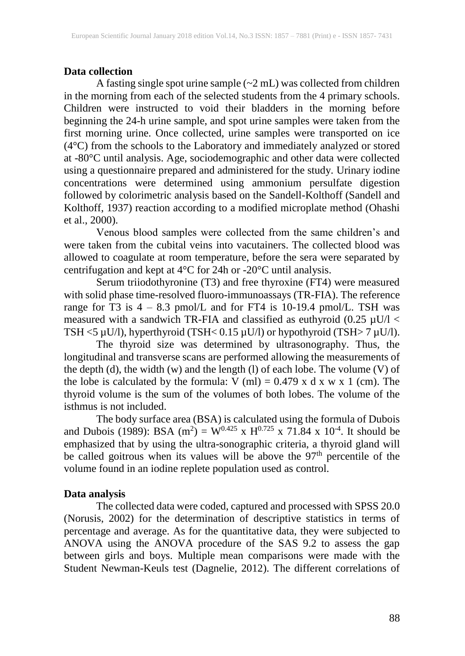### **Data collection**

A fasting single spot urine sample (~2 mL) was collected from children in the morning from each of the selected students from the 4 primary schools. Children were instructed to void their bladders in the morning before beginning the 24-h urine sample, and spot urine samples were taken from the first morning urine. Once collected, urine samples were transported on ice (4°C) from the schools to the Laboratory and immediately analyzed or stored at -80°C until analysis. Age, sociodemographic and other data were collected using a questionnaire prepared and administered for the study. Urinary iodine concentrations were determined using ammonium persulfate digestion followed by colorimetric analysis based on the Sandell-Kolthoff (Sandell and Kolthoff, 1937) reaction according to a modified microplate method (Ohashi et al., 2000).

Venous blood samples were collected from the same children's and were taken from the cubital veins into vacutainers. The collected blood was allowed to coagulate at room temperature, before the sera were separated by centrifugation and kept at 4°C for 24h or -20°C until analysis.

Serum triiodothyronine (T3) and free thyroxine (FT4) were measured with solid phase time-resolved fluoro-immunoassays (TR-FIA). The reference range for  $\overline{T}3$  is  $4 - 8.3$  pmol/L and for FT4 is 10-19.4 pmol/L. TSH was measured with a sandwich TR-FIA and classified as euthyroid (0.25  $\mu$ U/l < TSH <5  $\mu$ U/l), hyperthyroid (TSH< 0.15  $\mu$ U/l) or hypothyroid (TSH> 7  $\mu$ U/l).

The thyroid size was determined by ultrasonography. Thus, the longitudinal and transverse scans are performed allowing the measurements of the depth (d), the width (w) and the length (l) of each lobe. The volume (V) of the lobe is calculated by the formula:  $V$  (ml) = 0.479 x d x w x 1 (cm). The thyroid volume is the sum of the volumes of both lobes. The volume of the isthmus is not included.

The body surface area (BSA) is calculated using the formula of Dubois and Dubois (1989): BSA (m<sup>2</sup>) = W<sup>0.425</sup> x H<sup>0.725</sup> x 71.84 x 10<sup>-4</sup>. It should be emphasized that by using the ultra-sonographic criteria, a thyroid gland will be called goitrous when its values will be above the 97<sup>th</sup> percentile of the volume found in an iodine replete population used as control.

#### **Data analysis**

The collected data were coded, captured and processed with SPSS 20.0 (Norusis, 2002) for the determination of descriptive statistics in terms of percentage and average. As for the quantitative data, they were subjected to ANOVA using the ANOVA procedure of the SAS 9.2 to assess the gap between girls and boys. Multiple mean comparisons were made with the Student Newman-Keuls test (Dagnelie, 2012). The different correlations of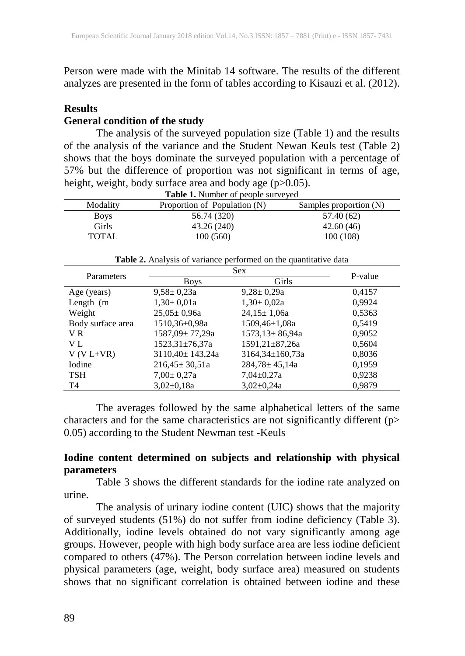Person were made with the Minitab 14 software. The results of the different analyzes are presented in the form of tables according to Kisauzi et al. (2012).

### **Results**

### **General condition of the study**

The analysis of the surveyed population size (Table 1) and the results of the analysis of the variance and the Student Newan Keuls test (Table 2) shows that the boys dominate the surveyed population with a percentage of 57% but the difference of proportion was not significant in terms of age, height, weight, body surface area and body age (p>0.05).

| <b>Table 1.</b> Number of people surveyed |                              |                        |  |  |  |  |
|-------------------------------------------|------------------------------|------------------------|--|--|--|--|
| Modality                                  | Proportion of Population (N) | Samples proportion (N) |  |  |  |  |
| <b>Boys</b>                               | 56.74 (320)                  | 57.40 (62)             |  |  |  |  |
| Girls                                     | 43.26 (240)                  | 42.60(46)              |  |  |  |  |
| <b>TOTAL</b>                              | 100(560)                     | 100 (108)              |  |  |  |  |

**Table 2.** Analysis of variance performed on the quantitative data

| Parameters        |                       | P-value               |        |
|-------------------|-----------------------|-----------------------|--------|
|                   | <b>Boys</b>           | Girls                 |        |
| Age (years)       | $9,58 \pm 0,23a$      | $9,28 \pm 0,29a$      | 0,4157 |
| Length $(m)$      | $1,30 \pm 0,01a$      | $1,30 \pm 0,02a$      | 0,9924 |
| Weight            | $25,05 \pm 0,96a$     | $24,15 \pm 1,06a$     | 0,5363 |
| Body surface area | 1510,36±0,98a         | $1509,46 \pm 1,08a$   | 0,5419 |
| V R               | 1587,09± 77,29a       | $1573,13 \pm 86,94a$  | 0,9052 |
| V L               | $1523,31\pm76,37a$    | $1591,21\pm87,26a$    | 0,5604 |
| $V(V L+VR)$       | $3110,40 \pm 143,24a$ | $3164,34 \pm 160,73a$ | 0,8036 |
| Iodine            | $216,45 \pm 30,51a$   | $284,78 \pm 45,14a$   | 0,1959 |
| <b>TSH</b>        | $7,00 \pm 0,27a$      | $7,04\pm0,27a$        | 0,9238 |
| T <sub>4</sub>    | $3,02\pm0,18a$        | $3,02\pm0,24a$        | 0.9879 |

The averages followed by the same alphabetical letters of the same characters and for the same characteristics are not significantly different (p> 0.05) according to the Student Newman test -Keuls

### **Iodine content determined on subjects and relationship with physical parameters**

Table 3 shows the different standards for the iodine rate analyzed on urine.

The analysis of urinary iodine content (UIC) shows that the majority of surveyed students (51%) do not suffer from iodine deficiency (Table 3). Additionally, iodine levels obtained do not vary significantly among age groups. However, people with high body surface area are less iodine deficient compared to others  $(47%)$ . The Person correlation between iodine levels and physical parameters (age, weight, body surface area) measured on students shows that no significant correlation is obtained between iodine and these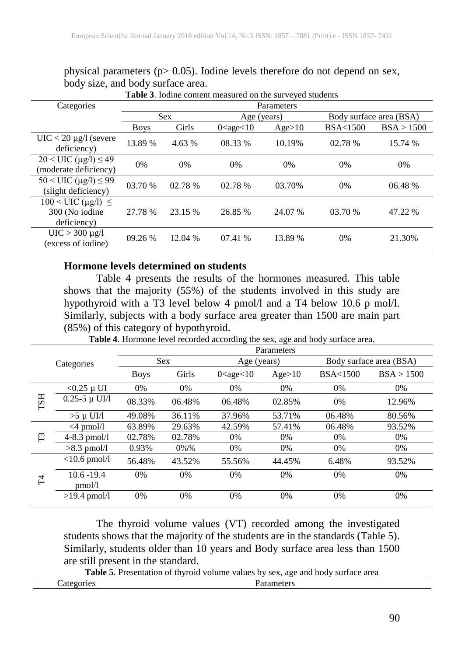|                                                                              |             |         | <b>Table 3.</b> Iodine content measured on the surveyed students |         |                         |            |
|------------------------------------------------------------------------------|-------------|---------|------------------------------------------------------------------|---------|-------------------------|------------|
| Categories                                                                   | Parameters  |         |                                                                  |         |                         |            |
|                                                                              | <b>Sex</b>  |         | Age (years)                                                      |         | Body surface area (BSA) |            |
|                                                                              | <b>Boys</b> | Girls   | $0 <$ age $<$ 10                                                 | Age>10  | <b>BSA&lt;1500</b>      | BSA > 1500 |
| $UIC < 20 \mu g/l$ (severe<br>deficiency)                                    | 13.89 %     | 4.63 %  | 08.33 %                                                          | 10.19%  | 02.78 %                 | 15.74 %    |
| $20 <$ UIC ( $\mu$ g/l) $\leq$ 49<br>(moderate deficiency)                   | 0%          | $0\%$   | $0\%$                                                            | $0\%$   | $0\%$                   | 0%         |
| $50 < \text{UIC} (\mu g/l) \leq 99$<br>(slight deficiency)                   | 03.70 %     | 02.78 % | 02.78 %                                                          | 03.70%  | $0\%$                   | 06.48 %    |
| $100 \leq UIC \left( \mu g/l \right) \leq$<br>300 (No iodine)<br>deficiency) | 27.78 %     | 23.15 % | 26.85 %                                                          | 24.07 % | 03.70%                  | 47.22 %    |
| $UIC > 300 \mu g/l$<br>(excess of iodine)                                    | 09.26%      | 12.04 % | 07.41 %                                                          | 13.89 % | $0\%$                   | 21.30%     |

physical parameters ( $p > 0.05$ ). Iodine levels therefore do not depend on sex, body size, and body surface area.

#### **Hormone levels determined on students**

Table 4 presents the results of the hormones measured. This table shows that the majority (55%) of the students involved in this study are hypothyroid with a T3 level below 4 pmol/l and a T4 below 10.6 p mol/l. Similarly, subjects with a body surface area greater than 1500 are main part (85%) of this category of hypothyroid.

**Table 4**. Hormone level recorded according the sex, age and body surface area.

|            |                     | Parameters  |         |                        |        |                         |            |
|------------|---------------------|-------------|---------|------------------------|--------|-------------------------|------------|
| Categories |                     | <b>Sex</b>  |         | Age (years)            |        | Body surface area (BSA) |            |
|            |                     | <b>Boys</b> | Girls   | $0 \leq$ age $\leq 10$ | Age>10 | <b>BSA&lt;1500</b>      | BSA > 1500 |
|            | $<$ 0.25 µ UI       | 0%          | 0%      | 0%                     | $0\%$  | 0%                      | $0\%$      |
| <b>FST</b> | $0.25 - 5 \mu$ UI/1 | 08.33%      | 06.48%  | 06.48%                 | 02.85% | $0\%$                   | 12.96%     |
|            | $>5 \mu$ UI/1       | 49.08%      | 36.11%  | 37.96%                 | 53.71% | 06.48%                  | 80.56%     |
| $\Gamma$ 3 | $\leq$ 4 pmol/l     | 63.89%      | 29.63%  | 42.59%                 | 57.41% | 06.48%                  | 93.52%     |
|            | $4 - 8.3$ pmol/l    | 02.78%      | 02.78%  | $0\%$                  | 0%     | 0%                      | $0\%$      |
|            | $>8.3$ pmol/l       | 0.93%       | $0\%$ % | 0%                     | 0%     | 0%                      | 0%         |
| H          | $<$ 10.6 pmol/l     | 56.48%      | 43.52%  | 55.56%                 | 44.45% | 6.48%                   | 93.52%     |
|            | $10.6 - 19.4$       | 0%          | 0%      | 0%                     | 0%     | 0%                      | 0%         |
|            | pmol/l              |             |         |                        |        |                         |            |
|            | $>19.4$ pmol/l      | 0%          | 0%      | 0%                     | 0%     | 0%                      | 0%         |
|            |                     |             |         |                        |        |                         |            |

The thyroid volume values (VT) recorded among the investigated students shows that the majority of the students are in the standards (Table 5). Similarly, students older than 10 years and Body surface area less than 1500 are still present in the standard.

**Table 5**. Presentation of thyroid volume values by sex, age and body surface area

| $\sim$ +<br><b>100</b><br>1121<br>- 411.<br>ີ<br>---<br>----- | .<br>$\cdot$ in the set<br>◡ェు<br>. |  |
|---------------------------------------------------------------|-------------------------------------|--|
|                                                               |                                     |  |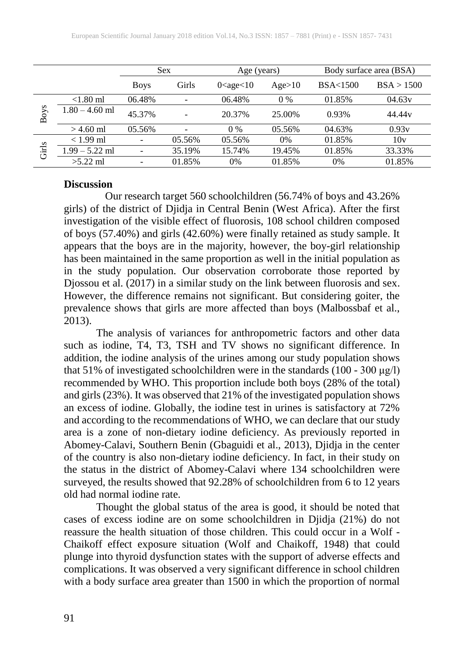|       |                  | <b>Sex</b>               |        | Age (years)      |        | Body surface area (BSA) |                    |
|-------|------------------|--------------------------|--------|------------------|--------|-------------------------|--------------------|
|       |                  | <b>Boys</b>              | Girls  | $0 <$ age $<$ 10 | Age>10 | <b>BSA&lt;1500</b>      | BSA > 1500         |
| Boys  | $< 1.80$ ml      | 06.48%                   |        | 06.48%           | $0\%$  | 01.85%                  | 04.63v             |
|       | $1.80 - 4.60$ ml | 45.37%                   |        | 20.37%           | 25.00% | 0.93%                   | 44.44 <sub>v</sub> |
|       | $> 4.60$ ml      | 05.56%                   |        | $0\%$            | 05.56% | 04.63%                  | 0.93v              |
| Girls | $< 1.99$ ml      |                          | 05.56% | 05.56%           | 0%     | 01.85%                  | 10v                |
|       | $1.99 - 5.22$ ml |                          | 35.19% | 15.74%           | 19.45% | 01.85%                  | 33.33%             |
|       | $>5.22$ ml       | $\overline{\phantom{0}}$ | 01.85% | $0\%$            | 01.85% | $0\%$                   | 01.85%             |

#### **Discussion**

Our research target 560 schoolchildren (56.74% of boys and 43.26% girls) of the district of Djidja in Central Benin (West Africa). After the first investigation of the visible effect of fluorosis, 108 school children composed of boys (57.40%) and girls (42.60%) were finally retained as study sample. It appears that the boys are in the majority, however, the boy-girl relationship has been maintained in the same proportion as well in the initial population as in the study population. Our observation corroborate those reported by Djossou et al. (2017) in a similar study on the link between fluorosis and sex. However, the difference remains not significant. But considering goiter, the prevalence shows that girls are more affected than boys (Malbossbaf et al., 2013).

The analysis of variances for anthropometric factors and other data such as iodine, T4, T3, TSH and TV shows no significant difference. In addition, the iodine analysis of the urines among our study population shows that 51% of investigated schoolchildren were in the standards (100 - 300 μg/l) recommended by WHO. This proportion include both boys (28% of the total) and girls (23%). It was observed that 21% of the investigated population shows an excess of iodine. Globally, the iodine test in urines is satisfactory at 72% and according to the recommendations of WHO, we can declare that our study area is a zone of non-dietary iodine deficiency. As previously reported in Abomey-Calavi, Southern Benin (Gbaguidi et al., 2013), Djidja in the center of the country is also non-dietary iodine deficiency. In fact, in their study on the status in the district of Abomey-Calavi where 134 schoolchildren were surveyed, the results showed that 92.28% of schoolchildren from 6 to 12 years old had normal iodine rate.

Thought the global status of the area is good, it should be noted that cases of excess iodine are on some schoolchildren in Djidja (21%) do not reassure the health situation of those children. This could occur in a Wolf - Chaikoff effect exposure situation (Wolf and Chaikoff, 1948) that could plunge into thyroid dysfunction states with the support of adverse effects and complications. It was observed a very significant difference in school children with a body surface area greater than 1500 in which the proportion of normal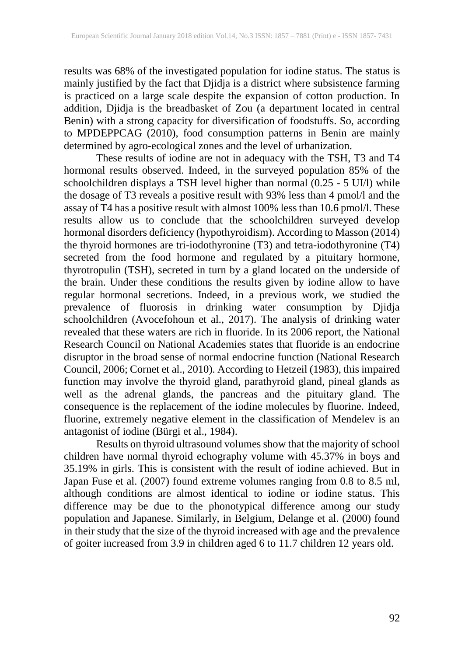results was 68% of the investigated population for iodine status. The status is mainly justified by the fact that Djidja is a district where subsistence farming is practiced on a large scale despite the expansion of cotton production. In addition, Djidja is the breadbasket of Zou (a department located in central Benin) with a strong capacity for diversification of foodstuffs. So, according to MPDEPPCAG (2010), food consumption patterns in Benin are mainly determined by agro-ecological zones and the level of urbanization.

These results of iodine are not in adequacy with the TSH, T3 and T4 hormonal results observed. Indeed, in the surveyed population 85% of the schoolchildren displays a TSH level higher than normal (0.25 - 5 UI/l) while the dosage of T3 reveals a positive result with 93% less than 4 pmol/l and the assay of T4 has a positive result with almost 100% less than 10.6 pmol/l. These results allow us to conclude that the schoolchildren surveyed develop hormonal disorders deficiency (hypothyroidism). According to Masson (2014) the thyroid hormones are tri-iodothyronine (T3) and tetra-iodothyronine (T4) secreted from the food hormone and regulated by a pituitary hormone, thyrotropulin (TSH), secreted in turn by a gland located on the underside of the brain. Under these conditions the results given by iodine allow to have regular hormonal secretions. Indeed, in a previous work, we studied the prevalence of fluorosis in drinking water consumption by Djidja schoolchildren (Avocefohoun et al., 2017). The analysis of drinking water revealed that these waters are rich in fluoride. In its 2006 report, the National Research Council on National Academies states that fluoride is an endocrine disruptor in the broad sense of normal endocrine function (National Research Council, 2006; Cornet et al., 2010). According to Hetzeil (1983), this impaired function may involve the thyroid gland, parathyroid gland, pineal glands as well as the adrenal glands, the pancreas and the pituitary gland. The consequence is the replacement of the iodine molecules by fluorine. Indeed, fluorine, extremely negative element in the classification of Mendelev is an antagonist of iodine (Bürgi et al., 1984).

Results on thyroid ultrasound volumes show that the majority of school children have normal thyroid echography volume with 45.37% in boys and 35.19% in girls. This is consistent with the result of iodine achieved. But in Japan Fuse et al. (2007) found extreme volumes ranging from 0.8 to 8.5 ml, although conditions are almost identical to iodine or iodine status. This difference may be due to the phonotypical difference among our study population and Japanese. Similarly, in Belgium, Delange et al. (2000) found in their study that the size of the thyroid increased with age and the prevalence of goiter increased from 3.9 in children aged 6 to 11.7 children 12 years old.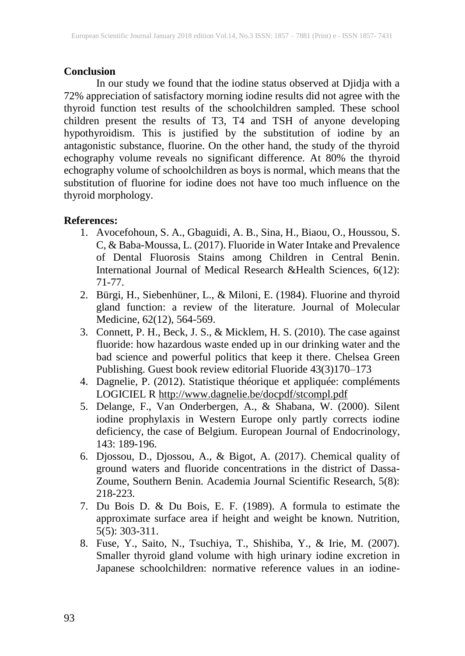#### **Conclusion**

In our study we found that the iodine status observed at Djidja with a 72% appreciation of satisfactory morning iodine results did not agree with the thyroid function test results of the schoolchildren sampled. These school children present the results of T3, T4 and TSH of anyone developing hypothyroidism. This is justified by the substitution of iodine by an antagonistic substance, fluorine. On the other hand, the study of the thyroid echography volume reveals no significant difference. At 80% the thyroid echography volume of schoolchildren as boys is normal, which means that the substitution of fluorine for iodine does not have too much influence on the thyroid morphology.

#### **References:**

- 1. Avocefohoun, S. A., Gbaguidi, A. B., Sina, H., Biaou, O., Houssou, S. C, & Baba-Moussa, L. (2017). Fluoride in Water Intake and Prevalence of Dental Fluorosis Stains among Children in Central Benin. International Journal of Medical Research &Health Sciences, 6(12): 71-77.
- 2. Bürgi, H., Siebenhüner, L., & Miloni, E. (1984). Fluorine and thyroid gland function: a review of the literature. Journal of Molecular Medicine, 62(12), 564-569.
- 3. Connett, P. H., Beck, J. S., & Micklem, H. S. (2010). The case against fluoride: how hazardous waste ended up in our drinking water and the bad science and powerful politics that keep it there. Chelsea Green Publishing. Guest book review editorial Fluoride 43(3)170–173
- 4. Dagnelie, P. (2012). Statistique théorique et appliquée: compléments LOGICIEL R <http://www.dagnelie.be/docpdf/stcompl.pdf>
- 5. Delange, F., Van Onderbergen, A., & Shabana, W. (2000). Silent iodine prophylaxis in Western Europe only partly corrects iodine deficiency, the case of Belgium. European Journal of Endocrinology, 143: 189-196.
- 6. Djossou, D., Djossou, A., & Bigot, A. (2017). Chemical quality of ground waters and fluoride concentrations in the district of Dassa-Zoume, Southern Benin. Academia Journal Scientific Research, 5(8): 218-223.
- 7. Du Bois D. & Du Bois, E. F. (1989). A formula to estimate the approximate surface area if height and weight be known. Nutrition, 5(5): 303-311.
- 8. Fuse, Y., Saito, N., Tsuchiya, T., Shishiba, Y., & Irie, M. (2007). Smaller thyroid gland volume with high urinary iodine excretion in Japanese schoolchildren: normative reference values in an iodine-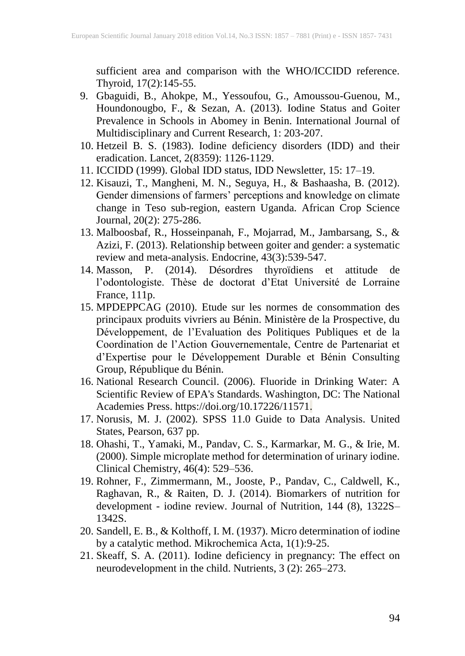sufficient area and comparison with the WHO/ICCIDD reference. Thyroid, 17(2):145-55.

- 9. Gbaguidi, B., Ahokpe, M., Yessoufou, G., Amoussou-Guenou, M., Houndonougbo, F., & Sezan, A. (2013). Iodine Status and Goiter Prevalence in Schools in Abomey in Benin. International Journal of Multidisciplinary and Current Research, 1: 203-207.
- 10. Hetzeil B. S. (1983). Iodine deficiency disorders (IDD) and their eradication. Lancet, 2(8359): 1126-1129.
- 11. ICCIDD (1999). Global IDD status, IDD Newsletter, 15: 17–19.
- 12. Kisauzi, T., Mangheni, M. N., Seguya, H., & Bashaasha, B. (2012). Gender dimensions of farmers' perceptions and knowledge on climate change in Teso sub-region, eastern Uganda. African Crop Science Journal, 20(2): 275-286.
- 13. Malboosbaf, R., Hosseinpanah, F., Mojarrad, M., Jambarsang, S., & Azizi, F. (2013). Relationship between goiter and gender: a systematic review and meta-analysis. Endocrine, 43(3):539-547.
- 14. Masson, P. (2014). Désordres thyroïdiens et attitude de l'odontologiste. Thèse de doctorat d'Etat Université de Lorraine France, 111p.
- 15. MPDEPPCAG (2010). Etude sur les normes de consommation des principaux produits vivriers au Bénin. Ministère de la Prospective, du Développement, de l'Evaluation des Politiques Publiques et de la Coordination de l'Action Gouvernementale, Centre de Partenariat et d'Expertise pour le Développement Durable et Bénin Consulting Group, République du Bénin.
- 16. National Research Council. (2006). Fluoride in Drinking Water: A Scientific Review of EPA's Standards. Washington, DC: The National Academies Press. https://doi.org/10.17226/11571.
- 17. Norusis, M. J. (2002). SPSS 11.0 Guide to Data Analysis. United States, Pearson, 637 pp.
- 18. Ohashi, T., Yamaki, M., Pandav, C. S., Karmarkar, M. G., & Irie, M. (2000). Simple microplate method for determination of urinary iodine. Clinical Chemistry, 46(4): 529–536.
- 19. Rohner, F., Zimmermann, M., Jooste, P., Pandav, C., Caldwell, K., Raghavan, R., & Raiten, D. J. (2014). Biomarkers of nutrition for development - iodine review. Journal of Nutrition, 144 (8), 1322S– 1342S.
- 20. Sandell, E. B., & Kolthoff, I. M. (1937). Micro determination of iodine by a catalytic method. Mikrochemica Acta, 1(1):9-25.
- 21. Skeaff, S. A. (2011). Iodine deficiency in pregnancy: The effect on neurodevelopment in the child. Nutrients, 3 (2): 265–273.